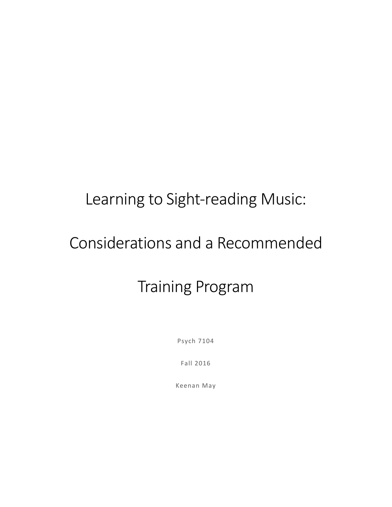# Learning to Sight-reading Music:

# Considerations and a Recommended

# Training Program

Psych 7104

Fall 2016

Keenan May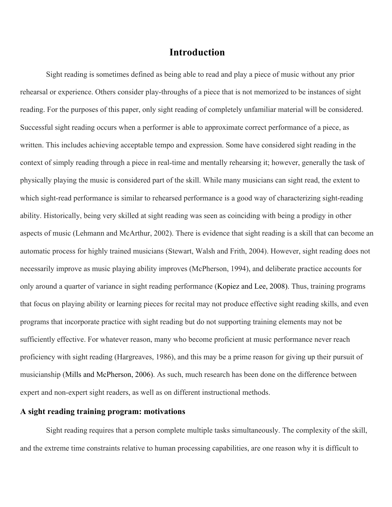# **Introduction**

Sight reading is sometimes defined as being able to read and play a piece of music without any prior rehearsal or experience. Others consider play-throughs of a piece that is not memorized to be instances of sight reading. For the purposes of this paper, only sight reading of completely unfamiliar material will be considered. Successful sight reading occurs when a performer is able to approximate correct performance of a piece, as written. This includes achieving acceptable tempo and expression. Some have considered sight reading in the context of simply reading through a piece in real-time and mentally rehearsing it; however, generally the task of physically playing the music is considered part of the skill. While many musicians can sight read, the extent to which sight-read performance is similar to rehearsed performance is a good way of characterizing sight-reading ability. Historically, being very skilled at sight reading was seen as coinciding with being a prodigy in other aspects of music (Lehmann and McArthur, 2002). There is evidence that sight reading is a skill that can become an automatic process for highly trained musicians (Stewart, Walsh and Frith, 2004). However, sight reading does not necessarily improve as music playing ability improves (McPherson, 1994), and deliberate practice accounts for only around a quarter of variance in sight reading performance (Kopiez and Lee, 2008). Thus, training programs that focus on playing ability or learning pieces for recital may not produce effective sight reading skills, and even programs that incorporate practice with sight reading but do not supporting training elements may not be sufficiently effective. For whatever reason, many who become proficient at music performance never reach proficiency with sight reading (Hargreaves, 1986), and this may be a prime reason for giving up their pursuit of musicianship (Mills and McPherson, 2006). As such, much research has been done on the difference between expert and non-expert sight readers, as well as on different instructional methods.

# **A sight reading training program: motivations**

Sight reading requires that a person complete multiple tasks simultaneously. The complexity of the skill, and the extreme time constraints relative to human processing capabilities, are one reason why it is difficult to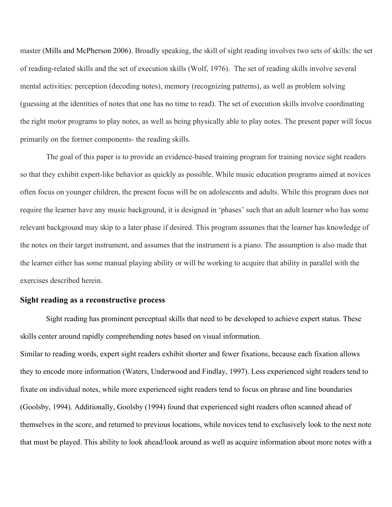master (Mills and McPherson 2006). Broadly speaking, the skill of sight reading involves two sets of skills: the set of reading-related skills and the set of execution skills (Wolf, 1976). The set of reading skills involve several mental activities: perception (decoding notes), memory (recognizing patterns), as well as problem solving (guessing at the identities of notes that one has no time to read). The set of execution skills involve coordinating the right motor programs to play notes, as well as being physically able to play notes. The present paper will focus primarily on the former components- the reading skills.

The goal of this paper is to provide an evidence-based training program for training novice sight readers so that they exhibit expert-like behavior as quickly as possible. While music education programs aimed at novices often focus on younger children, the present focus will be on adolescents and adults. While this program does not require the learner have any music background, it is designed in 'phases' such that an adult learner who has some relevant background may skip to a later phase if desired. This program assumes that the learner has knowledge of the notes on their target instrument, and assumes that the instrument is a piano. The assumption is also made that the learner either has some manual playing ability or will be working to acquire that ability in parallel with the exercises described herein.

#### **Sight reading as a reconstructive process**

Sight reading has prominent perceptual skills that need to be developed to achieve expert status. These skills center around rapidly comprehending notes based on visual information.

Similar to reading words, expert sight readers exhibit shorter and fewer fixations, because each fixation allows they to encode more information (Waters, Underwood and Findlay, 1997). Less experienced sight readers tend to fixate on individual notes, while more experienced sight readers tend to focus on phrase and line boundaries (Goolsby, 1994). Additionally, Goolsby (1994) found that experienced sight readers often scanned ahead of themselves in the score, and returned to previous locations, while novices tend to exclusively look to the next note that must be played. This ability to look ahead/look around as well as acquire information about more notes with a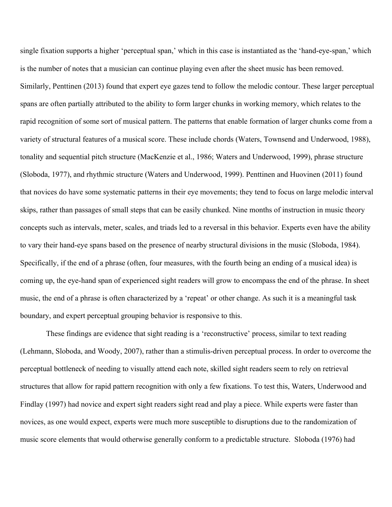single fixation supports a higher 'perceptual span,' which in this case is instantiated as the 'hand-eye-span,' which is the number of notes that a musician can continue playing even after the sheet music has been removed. Similarly, Penttinen (2013) found that expert eye gazes tend to follow the melodic contour. These larger perceptual spans are often partially attributed to the ability to form larger chunks in working memory, which relates to the rapid recognition of some sort of musical pattern. The patterns that enable formation of larger chunks come from a variety of structural features of a musical score. These include chords (Waters, Townsend and Underwood, 1988), tonality and sequential pitch structure (MacKenzie et al., 1986; Waters and Underwood, 1999), phrase structure (Sloboda, 1977), and rhythmic structure (Waters and Underwood, 1999). Penttinen and Huovinen (2011) found that novices do have some systematic patterns in their eye movements; they tend to focus on large melodic interval skips, rather than passages of small steps that can be easily chunked. Nine months of instruction in music theory concepts such as intervals, meter, scales, and triads led to a reversal in this behavior. Experts even have the ability to vary their hand-eye spans based on the presence of nearby structural divisions in the music (Sloboda, 1984). Specifically, if the end of a phrase (often, four measures, with the fourth being an ending of a musical idea) is coming up, the eye-hand span of experienced sight readers will grow to encompass the end of the phrase. In sheet music, the end of a phrase is often characterized by a 'repeat' or other change. As such it is a meaningful task boundary, and expert perceptual grouping behavior is responsive to this.

These findings are evidence that sight reading is a 'reconstructive' process, similar to text reading (Lehmann, Sloboda, and Woody, 2007), rather than a stimulis-driven perceptual process. In order to overcome the perceptual bottleneck of needing to visually attend each note, skilled sight readers seem to rely on retrieval structures that allow for rapid pattern recognition with only a few fixations. To test this, Waters, Underwood and Findlay (1997) had novice and expert sight readers sight read and play a piece. While experts were faster than novices, as one would expect, experts were much more susceptible to disruptions due to the randomization of music score elements that would otherwise generally conform to a predictable structure. Sloboda (1976) had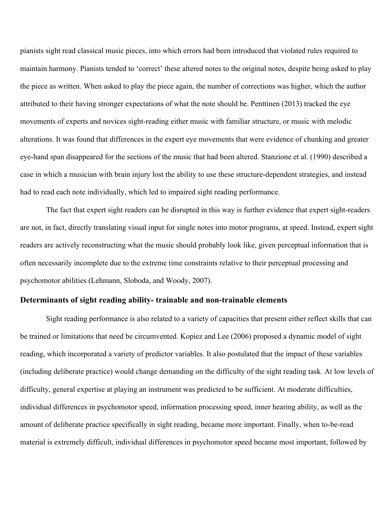pianists sight read classical music pieces, into which errors had been introduced that violated rules required to maintain harmony. Pianists tended to 'correct' these altered notes to the original notes, despite being asked to play the piece as written. When asked to play the piece again, the number of corrections was higher, which the author attributed to their having stronger expectations of what the note should be. Penttinen (2013) tracked the eye movements of experts and novices sight-reading either music with familiar structure, or music with melodic alterations. It was found that differences in the expert eye movements that were evidence of chunking and greater eye-hand span disappeared for the sections of the music that had been altered. Stanzione et al. (1990) described a case in which a musician with brain injury lost the ability to use these structure-dependent strategies, and instead had to read each note individually, which led to impaired sight reading performance.

The fact that expert sight readers can be disrupted in this way is further evidence that expert sight-readers are not, in fact, directly translating visual input for single notes into motor programs, at speed. Instead, expert sight readers are actively reconstructing what the music should probably look like, given perceptual information that is often necessarily incomplete due to the extreme time constraints relative to their perceptual processing and psychomotor abilities (Lehmann, Sloboda, and Woody, 2007).

#### **Determinants of sight reading ability- trainable and non-trainable elements**

Sight reading performance is also related to a variety of capacities that present either reflect skills that can be trained or limitations that need be circumvented. Kopiez and Lee (2006) proposed a dynamic model of sight reading, which incorporated a variety of predictor variables. It also postulated that the impact of these variables (including deliberate practice) would change demanding on the difficulty of the sight reading task. At low levels of difficulty, general expertise at playing an instrument was predicted to be sufficient. At moderate difficulties, individual differences in psychomotor speed, information processing speed, inner hearing ability, as well as the amount of deliberate practice specifically in sight reading, became more important. Finally, when to-be-read material is extremely difficult, individual differences in psychomotor speed became most important, followed by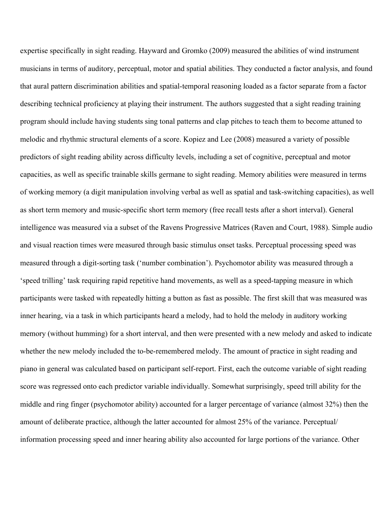expertise specifically in sight reading. Hayward and Gromko (2009) measured the abilities of wind instrument musicians in terms of auditory, perceptual, motor and spatial abilities. They conducted a factor analysis, and found that aural pattern discrimination abilities and spatial-temporal reasoning loaded as a factor separate from a factor describing technical proficiency at playing their instrument. The authors suggested that a sight reading training program should include having students sing tonal patterns and clap pitches to teach them to become attuned to melodic and rhythmic structural elements of a score. Kopiez and Lee (2008) measured a variety of possible predictors of sight reading ability across difficulty levels, including a set of cognitive, perceptual and motor capacities, as well as specific trainable skills germane to sight reading. Memory abilities were measured in terms of working memory (a digit manipulation involving verbal as well as spatial and task-switching capacities), as well as short term memory and music-specific short term memory (free recall tests after a short interval). General intelligence was measured via a subset of the Ravens Progressive Matrices (Raven and Court, 1988). Simple audio and visual reaction times were measured through basic stimulus onset tasks. Perceptual processing speed was measured through a digit-sorting task ('number combination'). Psychomotor ability was measured through a 'speed trilling' task requiring rapid repetitive hand movements, as well as a speed-tapping measure in which participants were tasked with repeatedly hitting a button as fast as possible. The first skill that was measured was inner hearing, via a task in which participants heard a melody, had to hold the melody in auditory working memory (without humming) for a short interval, and then were presented with a new melody and asked to indicate whether the new melody included the to-be-remembered melody. The amount of practice in sight reading and piano in general was calculated based on participant self-report. First, each the outcome variable of sight reading score was regressed onto each predictor variable individually. Somewhat surprisingly, speed trill ability for the middle and ring finger (psychomotor ability) accounted for a larger percentage of variance (almost 32%) then the amount of deliberate practice, although the latter accounted for almost 25% of the variance. Perceptual/ information processing speed and inner hearing ability also accounted for large portions of the variance. Other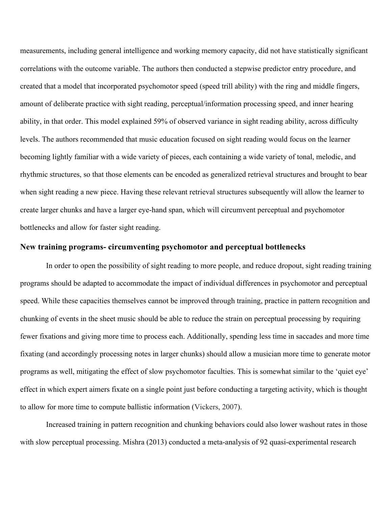measurements, including general intelligence and working memory capacity, did not have statistically significant correlations with the outcome variable. The authors then conducted a stepwise predictor entry procedure, and created that a model that incorporated psychomotor speed (speed trill ability) with the ring and middle fingers, amount of deliberate practice with sight reading, perceptual/information processing speed, and inner hearing ability, in that order. This model explained 59% of observed variance in sight reading ability, across difficulty levels. The authors recommended that music education focused on sight reading would focus on the learner becoming lightly familiar with a wide variety of pieces, each containing a wide variety of tonal, melodic, and rhythmic structures, so that those elements can be encoded as generalized retrieval structures and brought to bear when sight reading a new piece. Having these relevant retrieval structures subsequently will allow the learner to create larger chunks and have a larger eye-hand span, which will circumvent perceptual and psychomotor bottlenecks and allow for faster sight reading.

#### **New training programs- circumventing psychomotor and perceptual bottlenecks**

In order to open the possibility of sight reading to more people, and reduce dropout, sight reading training programs should be adapted to accommodate the impact of individual differences in psychomotor and perceptual speed. While these capacities themselves cannot be improved through training, practice in pattern recognition and chunking of events in the sheet music should be able to reduce the strain on perceptual processing by requiring fewer fixations and giving more time to process each. Additionally, spending less time in saccades and more time fixating (and accordingly processing notes in larger chunks) should allow a musician more time to generate motor programs as well, mitigating the effect of slow psychomotor faculties. This is somewhat similar to the 'quiet eye' effect in which expert aimers fixate on a single point just before conducting a targeting activity, which is thought to allow for more time to compute ballistic information (Vickers, 2007).

Increased training in pattern recognition and chunking behaviors could also lower washout rates in those with slow perceptual processing. Mishra (2013) conducted a meta-analysis of 92 quasi-experimental research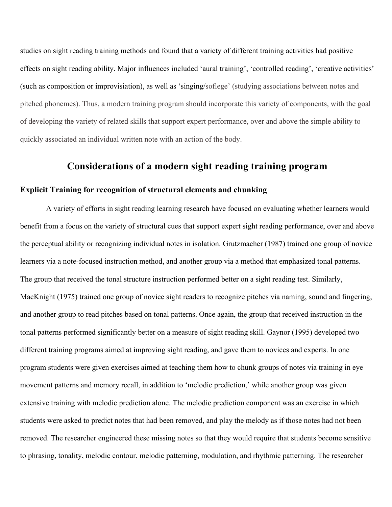studies on sight reading training methods and found that a variety of different training activities had positive effects on sight reading ability. Major influences included 'aural training', 'controlled reading', 'creative activities' (such as composition or improvisiation), as well as 'singing/soflege' (studying associations between notes and pitched phonemes). Thus, a modern training program should incorporate this variety of components, with the goal of developing the variety of related skills that support expert performance, over and above the simple ability to quickly associated an individual written note with an action of the body.

# **Considerations of a modern sight reading training program**

### **Explicit Training for recognition of structural elements and chunking**

A variety of efforts in sight reading learning research have focused on evaluating whether learners would benefit from a focus on the variety of structural cues that support expert sight reading performance, over and above the perceptual ability or recognizing individual notes in isolation. Grutzmacher (1987) trained one group of novice learners via a note-focused instruction method, and another group via a method that emphasized tonal patterns. The group that received the tonal structure instruction performed better on a sight reading test. Similarly, MacKnight (1975) trained one group of novice sight readers to recognize pitches via naming, sound and fingering, and another group to read pitches based on tonal patterns. Once again, the group that received instruction in the tonal patterns performed significantly better on a measure of sight reading skill. Gaynor (1995) developed two different training programs aimed at improving sight reading, and gave them to novices and experts. In one program students were given exercises aimed at teaching them how to chunk groups of notes via training in eye movement patterns and memory recall, in addition to 'melodic prediction,' while another group was given extensive training with melodic prediction alone. The melodic prediction component was an exercise in which students were asked to predict notes that had been removed, and play the melody as if those notes had not been removed. The researcher engineered these missing notes so that they would require that students become sensitive to phrasing, tonality, melodic contour, melodic patterning, modulation, and rhythmic patterning. The researcher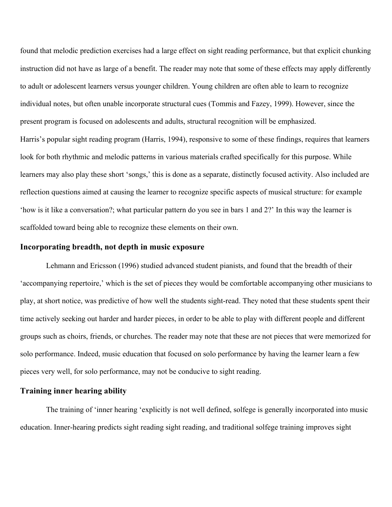found that melodic prediction exercises had a large effect on sight reading performance, but that explicit chunking instruction did not have as large of a benefit. The reader may note that some of these effects may apply differently to adult or adolescent learners versus younger children. Young children are often able to learn to recognize individual notes, but often unable incorporate structural cues (Tommis and Fazey, 1999). However, since the present program is focused on adolescents and adults, structural recognition will be emphasized. Harris's popular sight reading program (Harris, 1994), responsive to some of these findings, requires that learners look for both rhythmic and melodic patterns in various materials crafted specifically for this purpose. While learners may also play these short 'songs,' this is done as a separate, distinctly focused activity. Also included are reflection questions aimed at causing the learner to recognize specific aspects of musical structure: for example 'how is it like a conversation?; what particular pattern do you see in bars 1 and 2?' In this way the learner is scaffolded toward being able to recognize these elements on their own.

#### **Incorporating breadth, not depth in music exposure**

Lehmann and Ericsson (1996) studied advanced student pianists, and found that the breadth of their 'accompanying repertoire,' which is the set of pieces they would be comfortable accompanying other musicians to play, at short notice, was predictive of how well the students sight-read. They noted that these students spent their time actively seeking out harder and harder pieces, in order to be able to play with different people and different groups such as choirs, friends, or churches. The reader may note that these are not pieces that were memorized for solo performance. Indeed, music education that focused on solo performance by having the learner learn a few pieces very well, for solo performance, may not be conducive to sight reading.

### **Training inner hearing ability**

The training of 'inner hearing 'explicitly is not well defined, solfege is generally incorporated into music education. Inner-hearing predicts sight reading sight reading, and traditional solfege training improves sight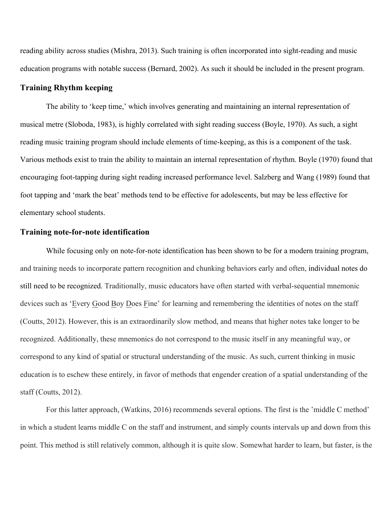reading ability across studies (Mishra, 2013). Such training is often incorporated into sight-reading and music education programs with notable success (Bernard, 2002). As such it should be included in the present program.

# **Training Rhythm keeping**

The ability to 'keep time,' which involves generating and maintaining an internal representation of musical metre (Sloboda, 1983), is highly correlated with sight reading success (Boyle, 1970). As such, a sight reading music training program should include elements of time-keeping, as this is a component of the task. Various methods exist to train the ability to maintain an internal representation of rhythm. Boyle (1970) found that encouraging foot-tapping during sight reading increased performance level. Salzberg and Wang (1989) found that foot tapping and 'mark the beat' methods tend to be effective for adolescents, but may be less effective for elementary school students.

# **Training note-for-note identification**

While focusing only on note-for-note identification has been shown to be for a modern training program, and training needs to incorporate pattern recognition and chunking behaviors early and often, individual notes do still need to be recognized. Traditionally, music educators have often started with verbal-sequential mnemonic devices such as 'Every Good Boy Does Fine' for learning and remembering the identities of notes on the staff (Coutts, 2012). However, this is an extraordinarily slow method, and means that higher notes take longer to be recognized. Additionally, these mnemonics do not correspond to the music itself in any meaningful way, or correspond to any kind of spatial or structural understanding of the music. As such, current thinking in music education is to eschew these entirely, in favor of methods that engender creation of a spatial understanding of the staff (Coutts, 2012).

For this latter approach, (Watkins, 2016) recommends several options. The first is the 'middle C method' in which a student learns middle C on the staff and instrument, and simply counts intervals up and down from this point. This method is still relatively common, although it is quite slow. Somewhat harder to learn, but faster, is the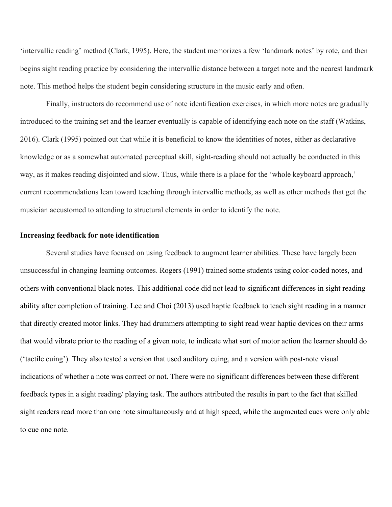'intervallic reading' method (Clark, 1995). Here, the student memorizes a few 'landmark notes' by rote, and then begins sight reading practice by considering the intervallic distance between a target note and the nearest landmark note. This method helps the student begin considering structure in the music early and often.

Finally, instructors do recommend use of note identification exercises, in which more notes are gradually introduced to the training set and the learner eventually is capable of identifying each note on the staff (Watkins, 2016). Clark (1995) pointed out that while it is beneficial to know the identities of notes, either as declarative knowledge or as a somewhat automated perceptual skill, sight-reading should not actually be conducted in this way, as it makes reading disjointed and slow. Thus, while there is a place for the 'whole keyboard approach,' current recommendations lean toward teaching through intervallic methods, as well as other methods that get the musician accustomed to attending to structural elements in order to identify the note.

#### **Increasing feedback for note identification**

Several studies have focused on using feedback to augment learner abilities. These have largely been unsuccessful in changing learning outcomes. Rogers (1991) trained some students using color-coded notes, and others with conventional black notes. This additional code did not lead to significant differences in sight reading ability after completion of training. Lee and Choi (2013) used haptic feedback to teach sight reading in a manner that directly created motor links. They had drummers attempting to sight read wear haptic devices on their arms that would vibrate prior to the reading of a given note, to indicate what sort of motor action the learner should do ('tactile cuing'). They also tested a version that used auditory cuing, and a version with post-note visual indications of whether a note was correct or not. There were no significant differences between these different feedback types in a sight reading/ playing task. The authors attributed the results in part to the fact that skilled sight readers read more than one note simultaneously and at high speed, while the augmented cues were only able to cue one note.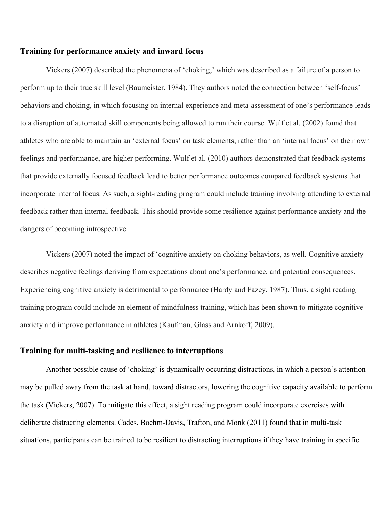# **Training for performance anxiety and inward focus**

Vickers (2007) described the phenomena of 'choking,' which was described as a failure of a person to perform up to their true skill level (Baumeister, 1984). They authors noted the connection between 'self-focus' behaviors and choking, in which focusing on internal experience and meta-assessment of one's performance leads to a disruption of automated skill components being allowed to run their course. Wulf et al. (2002) found that athletes who are able to maintain an 'external focus' on task elements, rather than an 'internal focus' on their own feelings and performance, are higher performing. Wulf et al. (2010) authors demonstrated that feedback systems that provide externally focused feedback lead to better performance outcomes compared feedback systems that incorporate internal focus. As such, a sight-reading program could include training involving attending to external feedback rather than internal feedback. This should provide some resilience against performance anxiety and the dangers of becoming introspective.

Vickers (2007) noted the impact of 'cognitive anxiety on choking behaviors, as well. Cognitive anxiety describes negative feelings deriving from expectations about one's performance, and potential consequences. Experiencing cognitive anxiety is detrimental to performance (Hardy and Fazey, 1987). Thus, a sight reading training program could include an element of mindfulness training, which has been shown to mitigate cognitive anxiety and improve performance in athletes (Kaufman, Glass and Arnkoff, 2009).

### **Training for multi-tasking and resilience to interruptions**

Another possible cause of 'choking' is dynamically occurring distractions, in which a person's attention may be pulled away from the task at hand, toward distractors, lowering the cognitive capacity available to perform the task (Vickers, 2007). To mitigate this effect, a sight reading program could incorporate exercises with deliberate distracting elements. Cades, Boehm-Davis, Trafton, and Monk (2011) found that in multi-task situations, participants can be trained to be resilient to distracting interruptions if they have training in specific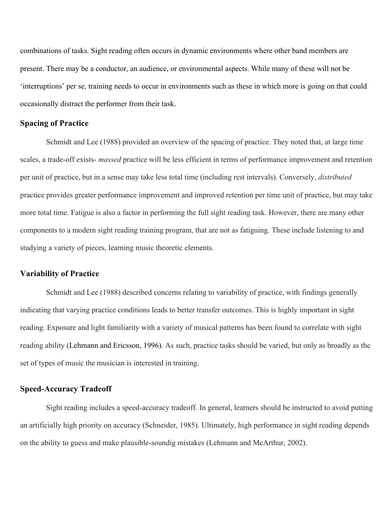combinations of tasks. Sight reading often occurs in dynamic environments where other band members are present. There may be a conductor, an audience, or environmental aspects. While many of these will not be 'interruptions' per se, training needs to occur in environments such as these in which more is going on that could occasionally distract the performer from their task.

# **Spacing of Practice**

Schmidt and Lee (1988) provided an overview of the spacing of practice. They noted that, at large time scales, a trade-off exists- *massed* practice will be less efficient in terms of performance improvement and retention per unit of practice, but in a sense may take less total time (including rest intervals). Conversely, *distributed* practice provides greater performance improvement and improved retention per time unit of practice, but may take more total time. Fatigue is also a factor in performing the full sight reading task. However, there are many other components to a modern sight reading training program, that are not as fatiguing. These include listening to and studying a variety of pieces, learning music theoretic elements.

#### **Variability of Practice**

Schmidt and Lee (1988) described concerns relating to variability of practice, with findings generally indicating that varying practice conditions leads to better transfer outcomes. This is highly important in sight reading. Exposure and light familiarity with a variety of musical patterns has been found to correlate with sight reading ability (Lehmann and Ericsson, 1996). As such, practice tasks should be varied, but only as broadly as the set of types of music the musician is interested in training.

# **Speed-Accuracy Tradeoff**

Sight reading includes a speed-accuracy tradeoff. In general, learners should be instructed to avoid putting an artificially high priority on accuracy (Schneider, 1985). Ultimately, high performance in sight reading depends on the ability to guess and make plausible-soundig mistakes (Lehmann and McArthur, 2002).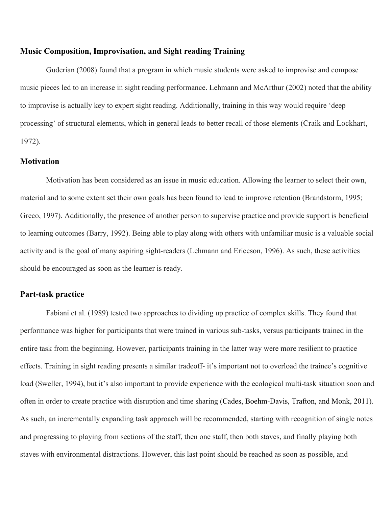#### **Music Composition, Improvisation, and Sight reading Training**

Guderian (2008) found that a program in which music students were asked to improvise and compose music pieces led to an increase in sight reading performance. Lehmann and McArthur (2002) noted that the ability to improvise is actually key to expert sight reading. Additionally, training in this way would require 'deep processing' of structural elements, which in general leads to better recall of those elements (Craik and Lockhart, 1972).

#### **Motivation**

Motivation has been considered as an issue in music education. Allowing the learner to select their own, material and to some extent set their own goals has been found to lead to improve retention (Brandstorm, 1995; Greco, 1997). Additionally, the presence of another person to supervise practice and provide support is beneficial to learning outcomes (Barry, 1992). Being able to play along with others with unfamiliar music is a valuable social activity and is the goal of many aspiring sight-readers (Lehmann and Ericcson, 1996). As such, these activities should be encouraged as soon as the learner is ready.

#### **Part-task practice**

Fabiani et al. (1989) tested two approaches to dividing up practice of complex skills. They found that performance was higher for participants that were trained in various sub-tasks, versus participants trained in the entire task from the beginning. However, participants training in the latter way were more resilient to practice effects. Training in sight reading presents a similar tradeoff- it's important not to overload the trainee's cognitive load (Sweller, 1994), but it's also important to provide experience with the ecological multi-task situation soon and often in order to create practice with disruption and time sharing (Cades, Boehm-Davis, Trafton, and Monk, 2011). As such, an incrementally expanding task approach will be recommended, starting with recognition of single notes and progressing to playing from sections of the staff, then one staff, then both staves, and finally playing both staves with environmental distractions. However, this last point should be reached as soon as possible, and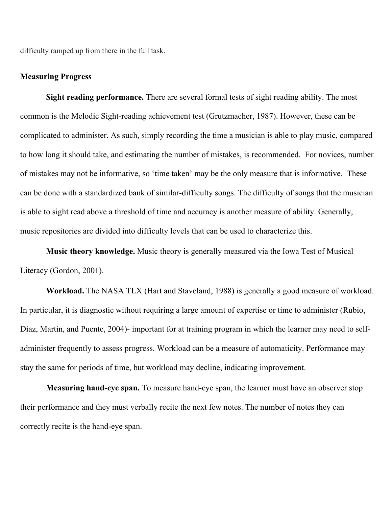difficulty ramped up from there in the full task.

#### **Measuring Progress**

**Sight reading performance.** There are several formal tests of sight reading ability. The most common is the Melodic Sight-reading achievement test (Grutzmacher, 1987). However, these can be complicated to administer. As such, simply recording the time a musician is able to play music, compared to how long it should take, and estimating the number of mistakes, is recommended. For novices, number of mistakes may not be informative, so 'time taken' may be the only measure that is informative. These can be done with a standardized bank of similar-difficulty songs. The difficulty of songs that the musician is able to sight read above a threshold of time and accuracy is another measure of ability. Generally, music repositories are divided into difficulty levels that can be used to characterize this.

**Music theory knowledge.** Music theory is generally measured via the Iowa Test of Musical Literacy (Gordon, 2001).

**Workload.** The NASA TLX (Hart and Staveland, 1988) is generally a good measure of workload. In particular, it is diagnostic without requiring a large amount of expertise or time to administer (Rubio, Diaz, Martin, and Puente, 2004)- important for at training program in which the learner may need to selfadminister frequently to assess progress. Workload can be a measure of automaticity. Performance may stay the same for periods of time, but workload may decline, indicating improvement.

**Measuring hand-eye span.** To measure hand-eye span, the learner must have an observer stop their performance and they must verbally recite the next few notes. The number of notes they can correctly recite is the hand-eye span.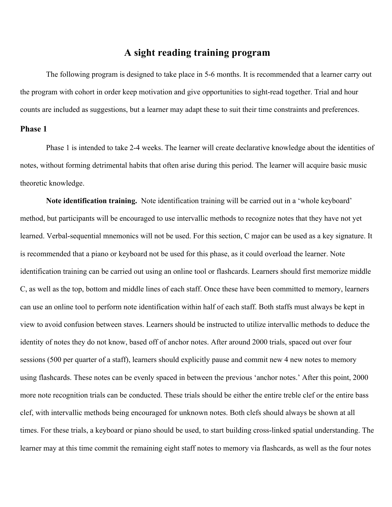# **A sight reading training program**

The following program is designed to take place in 5-6 months. It is recommended that a learner carry out the program with cohort in order keep motivation and give opportunities to sight-read together. Trial and hour counts are included as suggestions, but a learner may adapt these to suit their time constraints and preferences.

# **Phase 1**

Phase 1 is intended to take 2-4 weeks. The learner will create declarative knowledge about the identities of notes, without forming detrimental habits that often arise during this period. The learner will acquire basic music theoretic knowledge.

**Note identification training.** Note identification training will be carried out in a 'whole keyboard' method, but participants will be encouraged to use intervallic methods to recognize notes that they have not yet learned. Verbal-sequential mnemonics will not be used. For this section, C major can be used as a key signature. It is recommended that a piano or keyboard not be used for this phase, as it could overload the learner. Note identification training can be carried out using an online tool or flashcards. Learners should first memorize middle C, as well as the top, bottom and middle lines of each staff. Once these have been committed to memory, learners can use an online tool to perform note identification within half of each staff. Both staffs must always be kept in view to avoid confusion between staves. Learners should be instructed to utilize intervallic methods to deduce the identity of notes they do not know, based off of anchor notes. After around 2000 trials, spaced out over four sessions (500 per quarter of a staff), learners should explicitly pause and commit new 4 new notes to memory using flashcards. These notes can be evenly spaced in between the previous 'anchor notes.' After this point, 2000 more note recognition trials can be conducted. These trials should be either the entire treble clef or the entire bass clef, with intervallic methods being encouraged for unknown notes. Both clefs should always be shown at all times. For these trials, a keyboard or piano should be used, to start building cross-linked spatial understanding. The learner may at this time commit the remaining eight staff notes to memory via flashcards, as well as the four notes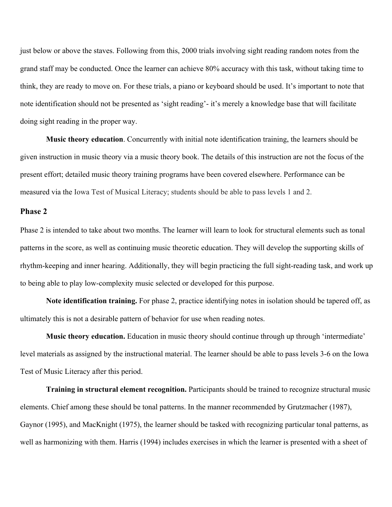just below or above the staves. Following from this, 2000 trials involving sight reading random notes from the grand staff may be conducted. Once the learner can achieve 80% accuracy with this task, without taking time to think, they are ready to move on. For these trials, a piano or keyboard should be used. It's important to note that note identification should not be presented as 'sight reading'- it's merely a knowledge base that will facilitate doing sight reading in the proper way.

**Music theory education**. Concurrently with initial note identification training, the learners should be given instruction in music theory via a music theory book. The details of this instruction are not the focus of the present effort; detailed music theory training programs have been covered elsewhere. Performance can be measured via the Iowa Test of Musical Literacy; students should be able to pass levels 1 and 2.

# **Phase 2**

Phase 2 is intended to take about two months. The learner will learn to look for structural elements such as tonal patterns in the score, as well as continuing music theoretic education. They will develop the supporting skills of rhythm-keeping and inner hearing. Additionally, they will begin practicing the full sight-reading task, and work up to being able to play low-complexity music selected or developed for this purpose.

**Note identification training.** For phase 2, practice identifying notes in isolation should be tapered off, as ultimately this is not a desirable pattern of behavior for use when reading notes.

**Music theory education.** Education in music theory should continue through up through 'intermediate' level materials as assigned by the instructional material. The learner should be able to pass levels 3-6 on the Iowa Test of Music Literacy after this period.

**Training in structural element recognition.** Participants should be trained to recognize structural music elements. Chief among these should be tonal patterns. In the manner recommended by Grutzmacher (1987), Gaynor (1995), and MacKnight (1975), the learner should be tasked with recognizing particular tonal patterns, as well as harmonizing with them. Harris (1994) includes exercises in which the learner is presented with a sheet of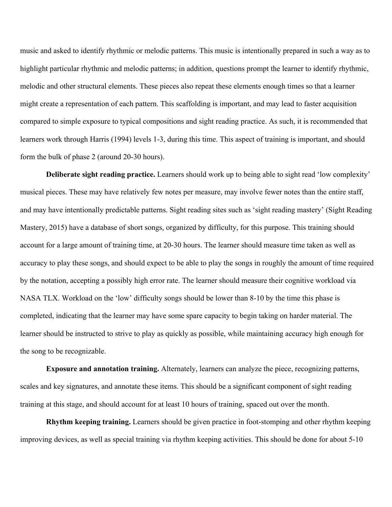music and asked to identify rhythmic or melodic patterns. This music is intentionally prepared in such a way as to highlight particular rhythmic and melodic patterns; in addition, questions prompt the learner to identify rhythmic, melodic and other structural elements. These pieces also repeat these elements enough times so that a learner might create a representation of each pattern. This scaffolding is important, and may lead to faster acquisition compared to simple exposure to typical compositions and sight reading practice. As such, it is recommended that learners work through Harris (1994) levels 1-3, during this time. This aspect of training is important, and should form the bulk of phase 2 (around 20-30 hours).

**Deliberate sight reading practice.** Learners should work up to being able to sight read 'low complexity' musical pieces. These may have relatively few notes per measure, may involve fewer notes than the entire staff, and may have intentionally predictable patterns. Sight reading sites such as 'sight reading mastery' (Sight Reading Mastery, 2015) have a database of short songs, organized by difficulty, for this purpose. This training should account for a large amount of training time, at 20-30 hours. The learner should measure time taken as well as accuracy to play these songs, and should expect to be able to play the songs in roughly the amount of time required by the notation, accepting a possibly high error rate. The learner should measure their cognitive workload via NASA TLX. Workload on the 'low' difficulty songs should be lower than 8-10 by the time this phase is completed, indicating that the learner may have some spare capacity to begin taking on harder material. The learner should be instructed to strive to play as quickly as possible, while maintaining accuracy high enough for the song to be recognizable.

**Exposure and annotation training.** Alternately, learners can analyze the piece, recognizing patterns, scales and key signatures, and annotate these items. This should be a significant component of sight reading training at this stage, and should account for at least 10 hours of training, spaced out over the month.

**Rhythm keeping training.** Learners should be given practice in foot-stomping and other rhythm keeping improving devices, as well as special training via rhythm keeping activities. This should be done for about 5-10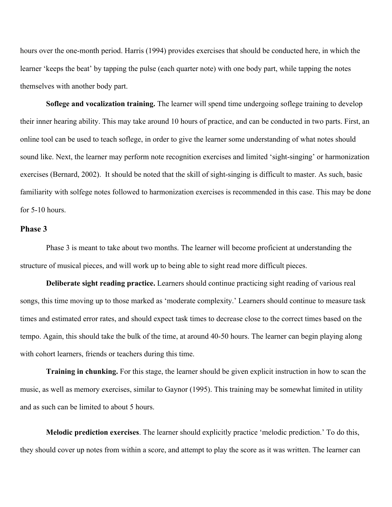hours over the one-month period. Harris (1994) provides exercises that should be conducted here, in which the learner 'keeps the beat' by tapping the pulse (each quarter note) with one body part, while tapping the notes themselves with another body part.

**Soflege and vocalization training.** The learner will spend time undergoing soflege training to develop their inner hearing ability. This may take around 10 hours of practice, and can be conducted in two parts. First, an online tool can be used to teach soflege, in order to give the learner some understanding of what notes should sound like. Next, the learner may perform note recognition exercises and limited 'sight-singing' or harmonization exercises (Bernard, 2002). It should be noted that the skill of sight-singing is difficult to master. As such, basic familiarity with solfege notes followed to harmonization exercises is recommended in this case. This may be done for 5-10 hours.

### **Phase 3**

Phase 3 is meant to take about two months. The learner will become proficient at understanding the structure of musical pieces, and will work up to being able to sight read more difficult pieces.

**Deliberate sight reading practice.** Learners should continue practicing sight reading of various real songs, this time moving up to those marked as 'moderate complexity.' Learners should continue to measure task times and estimated error rates, and should expect task times to decrease close to the correct times based on the tempo. Again, this should take the bulk of the time, at around 40-50 hours. The learner can begin playing along with cohort learners, friends or teachers during this time.

**Training in chunking.** For this stage, the learner should be given explicit instruction in how to scan the music, as well as memory exercises, similar to Gaynor (1995). This training may be somewhat limited in utility and as such can be limited to about 5 hours.

**Melodic prediction exercises**. The learner should explicitly practice 'melodic prediction.' To do this, they should cover up notes from within a score, and attempt to play the score as it was written. The learner can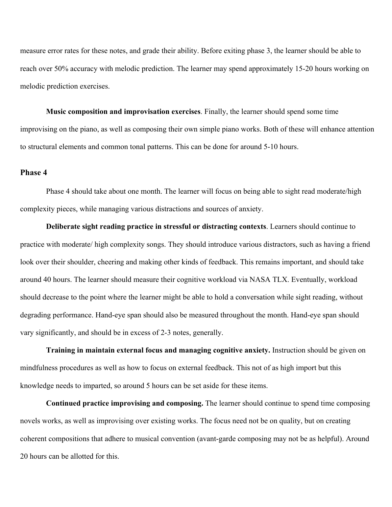measure error rates for these notes, and grade their ability. Before exiting phase 3, the learner should be able to reach over 50% accuracy with melodic prediction. The learner may spend approximately 15-20 hours working on melodic prediction exercises.

**Music composition and improvisation exercises**. Finally, the learner should spend some time improvising on the piano, as well as composing their own simple piano works. Both of these will enhance attention to structural elements and common tonal patterns. This can be done for around 5-10 hours.

#### **Phase 4**

Phase 4 should take about one month. The learner will focus on being able to sight read moderate/high complexity pieces, while managing various distractions and sources of anxiety.

**Deliberate sight reading practice in stressful or distracting contexts**. Learners should continue to practice with moderate/ high complexity songs. They should introduce various distractors, such as having a friend look over their shoulder, cheering and making other kinds of feedback. This remains important, and should take around 40 hours. The learner should measure their cognitive workload via NASA TLX. Eventually, workload should decrease to the point where the learner might be able to hold a conversation while sight reading, without degrading performance. Hand-eye span should also be measured throughout the month. Hand-eye span should vary significantly, and should be in excess of 2-3 notes, generally.

**Training in maintain external focus and managing cognitive anxiety.** Instruction should be given on mindfulness procedures as well as how to focus on external feedback. This not of as high import but this knowledge needs to imparted, so around 5 hours can be set aside for these items.

**Continued practice improvising and composing.** The learner should continue to spend time composing novels works, as well as improvising over existing works. The focus need not be on quality, but on creating coherent compositions that adhere to musical convention (avant-garde composing may not be as helpful). Around 20 hours can be allotted for this.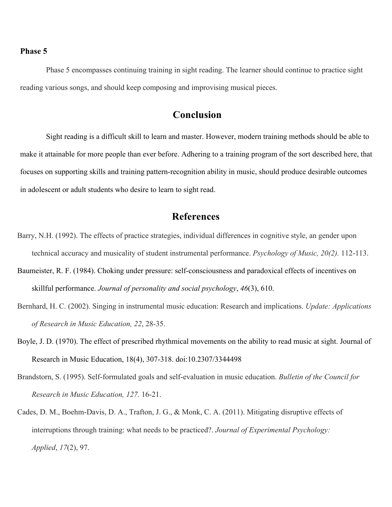# **Phase 5**

Phase 5 encompasses continuing training in sight reading. The learner should continue to practice sight reading various songs, and should keep composing and improvising musical pieces.

# **Conclusion**

Sight reading is a difficult skill to learn and master. However, modern training methods should be able to make it attainable for more people than ever before. Adhering to a training program of the sort described here, that focuses on supporting skills and training pattern-recognition ability in music, should produce desirable outcomes in adolescent or adult students who desire to learn to sight read.

# **References**

- Barry, N.H. (1992). The effects of practice strategies, individual differences in cognitive style, an gender upon technical accuracy and musicality of student instrumental performance. *Psychology of Music, 20(2).* 112-113.
- Baumeister, R. F. (1984). Choking under pressure: self-consciousness and paradoxical effects of incentives on skillful performance. *Journal of personality and social psychology*, *46*(3), 610.
- Bernhard, H. C. (2002). Singing in instrumental music education: Research and implications. *Update: Applications of Research in Music Education, 22*, 28-35.
- Boyle, J. D. (1970). The effect of prescribed rhythmical movements on the ability to read music at sight. Journal of Research in Music Education, 18(4), 307-318. doi:10.2307/3344498
- Brandstorn, S. (1995). Self-formulated goals and self-evaluation in music education. *Bulletin of the Council for Research in Music Education, 127.* 16-21.
- Cades, D. M., Boehm-Davis, D. A., Trafton, J. G., & Monk, C. A. (2011). Mitigating disruptive effects of interruptions through training: what needs to be practiced?. *Journal of Experimental Psychology: Applied*, *17*(2), 97.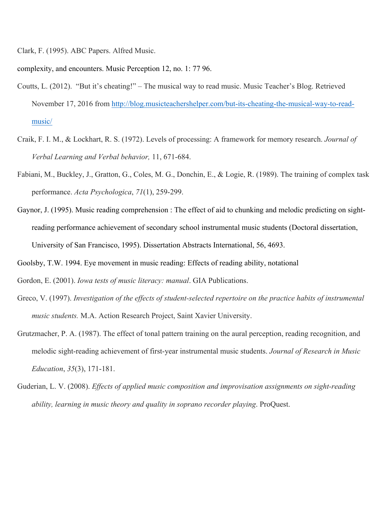Clark, F. (1995). ABC Papers. Alfred Music.

complexity, and encounters. Music Perception 12, no. 1: 77 96.

- Coutts, L. (2012). "But it's cheating!" The musical way to read music. Music Teacher's Blog. Retrieved November 17, 2016 from http://blog.musicteachershelper.com/but-its-cheating-the-musical-way-to-readmusic/
- Craik, F. I. M., & Lockhart, R. S. (1972). Levels of processing: A framework for memory research. *Journal of Verbal Learning and Verbal behavior,* 11, 671-684.
- Fabiani, M., Buckley, J., Gratton, G., Coles, M. G., Donchin, E., & Logie, R. (1989). The training of complex task performance. *Acta Psychologica*, *71*(1), 259-299.
- Gaynor, J. (1995). Music reading comprehension : The effect of aid to chunking and melodic predicting on sightreading performance achievement of secondary school instrumental music students (Doctoral dissertation, University of San Francisco, 1995). Dissertation Abstracts International, 56, 4693.

Goolsby, T.W. 1994. Eye movement in music reading: Effects of reading ability, notational

Gordon, E. (2001). *Iowa tests of music literacy: manual*. GIA Publications.

- Greco, V. (1997). *Investigation of the effects of student-selected repertoire on the practice habits of instrumental music students.* M.A. Action Research Project, Saint Xavier University.
- Grutzmacher, P. A. (1987). The effect of tonal pattern training on the aural perception, reading recognition, and melodic sight-reading achievement of first-year instrumental music students. *Journal of Research in Music Education*, *35*(3), 171-181.
- Guderian, L. V. (2008). *Effects of applied music composition and improvisation assignments on sight-reading ability, learning in music theory and quality in soprano recorder playing*. ProQuest.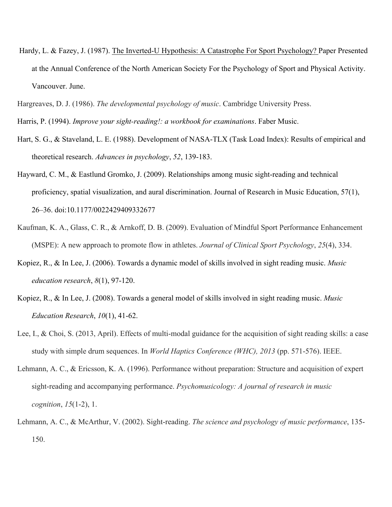- Hardy, L. & Fazey, J. (1987). The Inverted-U Hypothesis: A Catastrophe For Sport Psychology? Paper Presented at the Annual Conference of the North American Society For the Psychology of Sport and Physical Activity. Vancouver. June.
- Hargreaves, D. J. (1986). *The developmental psychology of music*. Cambridge University Press.
- Harris, P. (1994). *Improve your sight-reading!: a workbook for examinations*. Faber Music.
- Hart, S. G., & Staveland, L. E. (1988). Development of NASA-TLX (Task Load Index): Results of empirical and theoretical research. *Advances in psychology*, *52*, 139-183.
- Hayward, C. M., & Eastlund Gromko, J. (2009). Relationships among music sight-reading and technical proficiency, spatial visualization, and aural discrimination. Journal of Research in Music Education, 57(1), 26–36. doi:10.1177/0022429409332677
- Kaufman, K. A., Glass, C. R., & Arnkoff, D. B. (2009). Evaluation of Mindful Sport Performance Enhancement (MSPE): A new approach to promote flow in athletes. *Journal of Clinical Sport Psychology*, *25*(4), 334.
- Kopiez, R., & In Lee, J. (2006). Towards a dynamic model of skills involved in sight reading music. *Music education research*, *8*(1), 97-120.
- Kopiez, R., & In Lee, J. (2008). Towards a general model of skills involved in sight reading music. *Music Education Research*, *10*(1), 41-62.
- Lee, I., & Choi, S. (2013, April). Effects of multi-modal guidance for the acquisition of sight reading skills: a case study with simple drum sequences. In *World Haptics Conference (WHC), 2013* (pp. 571-576). IEEE.
- Lehmann, A. C., & Ericsson, K. A. (1996). Performance without preparation: Structure and acquisition of expert sight-reading and accompanying performance. *Psychomusicology: A journal of research in music cognition*, *15*(1-2), 1.
- Lehmann, A. C., & McArthur, V. (2002). Sight-reading. *The science and psychology of music performance*, 135- 150.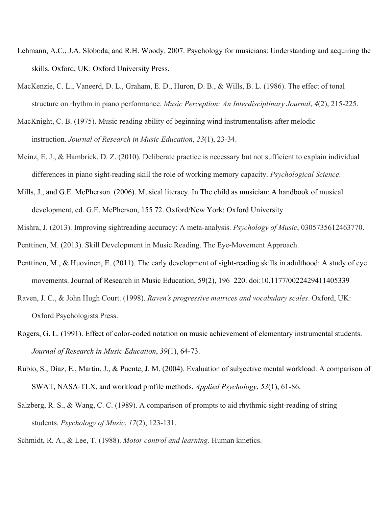- Lehmann, A.C., J.A. Sloboda, and R.H. Woody. 2007. Psychology for musicians: Understanding and acquiring the skills. Oxford, UK: Oxford University Press.
- MacKenzie, C. L., Vaneerd, D. L., Graham, E. D., Huron, D. B., & Wills, B. L. (1986). The effect of tonal structure on rhythm in piano performance. *Music Perception: An Interdisciplinary Journal*, *4*(2), 215-225.
- MacKnight, C. B. (1975). Music reading ability of beginning wind instrumentalists after melodic instruction. *Journal of Research in Music Education*, *23*(1), 23-34.
- Meinz, E. J., & Hambrick, D. Z. (2010). Deliberate practice is necessary but not sufficient to explain individual differences in piano sight-reading skill the role of working memory capacity. *Psychological Science*.
- Mills, J., and G.E. McPherson. (2006). Musical literacy. In The child as musician: A handbook of musical development, ed. G.E. McPherson, 155 72. Oxford/New York: Oxford University
- Mishra, J. (2013). Improving sightreading accuracy: A meta-analysis. *Psychology of Music*, 0305735612463770.

Penttinen, M. (2013). Skill Development in Music Reading. The Eye-Movement Approach.

- Penttinen, M., & Huovinen, E. (2011). The early development of sight-reading skills in adulthood: A study of eye movements. Journal of Research in Music Education, 59(2), 196–220. doi:10.1177/0022429411405339
- Raven, J. C., & John Hugh Court. (1998). *Raven's progressive matrices and vocabulary scales*. Oxford, UK: Oxford Psychologists Press.
- Rogers, G. L. (1991). Effect of color-coded notation on music achievement of elementary instrumental students. *Journal of Research in Music Education*, *39*(1), 64-73.
- Rubio, S., Díaz, E., Martín, J., & Puente, J. M. (2004). Evaluation of subjective mental workload: A comparison of SWAT, NASA-TLX, and workload profile methods. *Applied Psychology*, *53*(1), 61-86.
- Salzberg, R. S., & Wang, C. C. (1989). A comparison of prompts to aid rhythmic sight-reading of string students. *Psychology of Music*, *17*(2), 123-131.

Schmidt, R. A., & Lee, T. (1988). *Motor control and learning*. Human kinetics.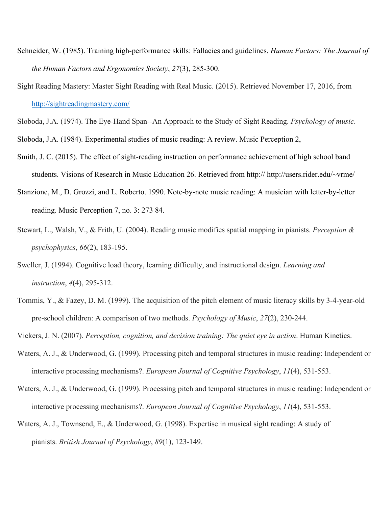- Schneider, W. (1985). Training high-performance skills: Fallacies and guidelines. *Human Factors: The Journal of the Human Factors and Ergonomics Society*, *27*(3), 285-300.
- Sight Reading Mastery: Master Sight Reading with Real Music. (2015). Retrieved November 17, 2016, from http://sightreadingmastery.com/

Sloboda, J.A. (1974). The Eye-Hand Span--An Approach to the Study of Sight Reading. *Psychology of music*.

Sloboda, J.A. (1984). Experimental studies of music reading: A review. Music Perception 2,

- Smith, J. C. (2015). The effect of sight-reading instruction on performance achievement of high school band students. Visions of Research in Music Education 26. Retrieved from http:// http://users.rider.edu/~vrme/
- Stanzione, M., D. Grozzi, and L. Roberto. 1990. Note-by-note music reading: A musician with letter-by-letter reading. Music Perception 7, no. 3: 273 84.
- Stewart, L., Walsh, V., & Frith, U. (2004). Reading music modifies spatial mapping in pianists. *Perception & psychophysics*, *66*(2), 183-195.
- Sweller, J. (1994). Cognitive load theory, learning difficulty, and instructional design. *Learning and instruction*, *4*(4), 295-312.
- Tommis, Y., & Fazey, D. M. (1999). The acquisition of the pitch element of music literacy skills by 3-4-year-old pre-school children: A comparison of two methods. *Psychology of Music*, *27*(2), 230-244.
- Vickers, J. N. (2007). *Perception, cognition, and decision training: The quiet eye in action*. Human Kinetics.
- Waters, A. J., & Underwood, G. (1999). Processing pitch and temporal structures in music reading: Independent or interactive processing mechanisms?. *European Journal of Cognitive Psychology*, *11*(4), 531-553.
- Waters, A. J., & Underwood, G. (1999). Processing pitch and temporal structures in music reading: Independent or interactive processing mechanisms?. *European Journal of Cognitive Psychology*, *11*(4), 531-553.
- Waters, A. J., Townsend, E., & Underwood, G. (1998). Expertise in musical sight reading: A study of pianists. *British Journal of Psychology*, *89*(1), 123-149.